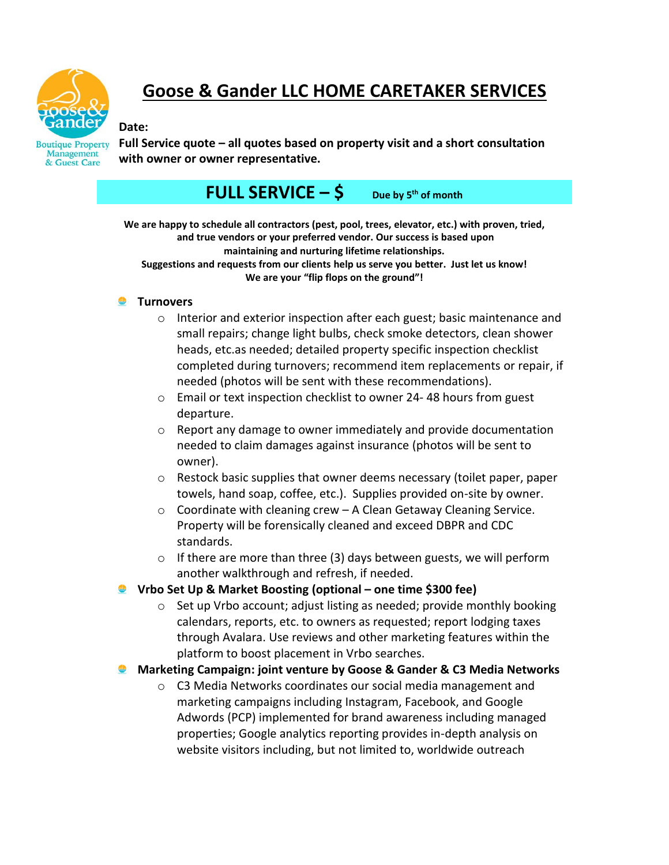

# **Goose & Gander LLC HOME CARETAKER SERVICES**

#### **Date:**

**Boutique Property** Management & Guest Care

**Full Service quote – all quotes based on property visit and a short consultation with owner or owner representative.**

# **FULL SERVICE**  $-\xi$  Due by 5<sup>th</sup> of month

**We are happy to schedule all contractors (pest, pool, trees, elevator, etc.) with proven, tried, and true vendors or your preferred vendor. Our success is based upon maintaining and nurturing lifetime relationships. Suggestions and requests from our clients help us serve you better. Just let us know! We are your "flip flops on the ground"!**

#### **P** Turnovers

- o Interior and exterior inspection after each guest; basic maintenance and small repairs; change light bulbs, check smoke detectors, clean shower heads, etc.as needed; detailed property specific inspection checklist completed during turnovers; recommend item replacements or repair, if needed (photos will be sent with these recommendations).
- o Email or text inspection checklist to owner 24- 48 hours from guest departure.
- $\circ$  Report any damage to owner immediately and provide documentation needed to claim damages against insurance (photos will be sent to owner).
- $\circ$  Restock basic supplies that owner deems necessary (toilet paper, paper towels, hand soap, coffee, etc.). Supplies provided on-site by owner.
- $\circ$  Coordinate with cleaning crew A Clean Getaway Cleaning Service. Property will be forensically cleaned and exceed DBPR and CDC standards.
- o If there are more than three (3) days between guests, we will perform another walkthrough and refresh, if needed.
- **Vrbo Set Up & Market Boosting (optional – one time \$300 fee)**
	- o Set up Vrbo account; adjust listing as needed; provide monthly booking calendars, reports, etc. to owners as requested; report lodging taxes through Avalara. Use reviews and other marketing features within the platform to boost placement in Vrbo searches.
- **Marketing Campaign: joint venture by Goose & Gander & C3 Media Networks**
	- o C3 Media Networks coordinates our social media management and marketing campaigns including Instagram, Facebook, and Google Adwords (PCP) implemented for brand awareness including managed properties; Google analytics reporting provides in-depth analysis on website visitors including, but not limited to, worldwide outreach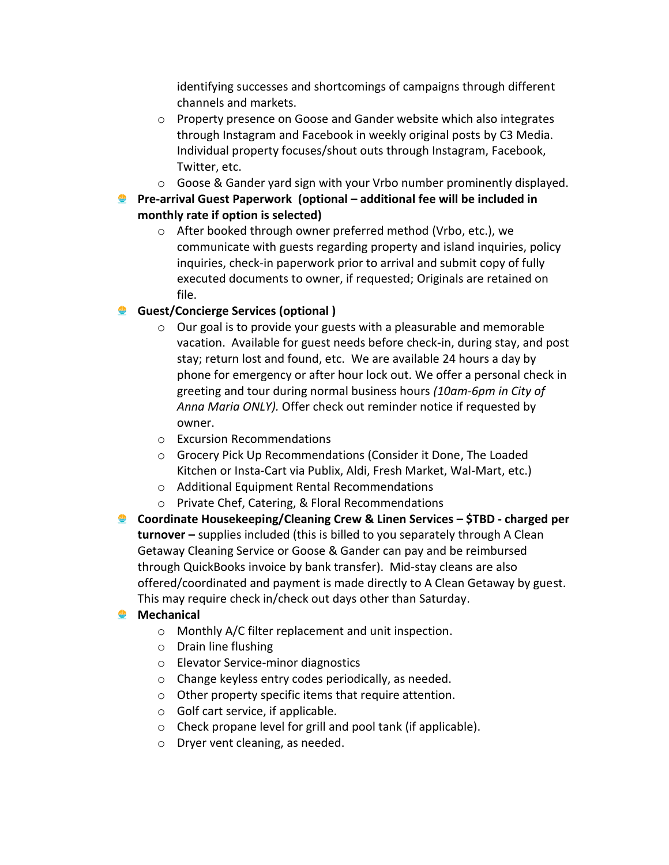identifying successes and shortcomings of campaigns through different channels and markets.

- o Property presence on Goose and Gander website which also integrates through Instagram and Facebook in weekly original posts by C3 Media. Individual property focuses/shout outs through Instagram, Facebook, Twitter, etc.
- $\circ$  Goose & Gander yard sign with your Vrbo number prominently displayed.
- **Pre-arrival Guest Paperwork (optional – additional fee will be included in monthly rate if option is selected)**
	- o After booked through owner preferred method (Vrbo, etc.), we communicate with guests regarding property and island inquiries, policy inquiries, check-in paperwork prior to arrival and submit copy of fully executed documents to owner, if requested; Originals are retained on file.

## **Guest/Concierge Services (optional )**

- o Our goal is to provide your guests with a pleasurable and memorable vacation. Available for guest needs before check-in, during stay, and post stay; return lost and found, etc. We are available 24 hours a day by phone for emergency or after hour lock out. We offer a personal check in greeting and tour during normal business hours *(10am-6pm in City of Anna Maria ONLY).* Offer check out reminder notice if requested by owner.
- o Excursion Recommendations
- o Grocery Pick Up Recommendations (Consider it Done, The Loaded Kitchen or Insta-Cart via Publix, Aldi, Fresh Market, Wal-Mart, etc.)
- o Additional Equipment Rental Recommendations
- o Private Chef, Catering, & Floral Recommendations
- **Coordinate Housekeeping/Cleaning Crew & Linen Services – \$TBD - charged per turnover –** supplies included (this is billed to you separately through A Clean Getaway Cleaning Service or Goose & Gander can pay and be reimbursed through QuickBooks invoice by bank transfer). Mid-stay cleans are also offered/coordinated and payment is made directly to A Clean Getaway by guest. This may require check in/check out days other than Saturday.

## **Mechanical**

- o Monthly A/C filter replacement and unit inspection.
- o Drain line flushing
- o Elevator Service-minor diagnostics
- o Change keyless entry codes periodically, as needed.
- $\circ$  Other property specific items that require attention.
- o Golf cart service, if applicable.
- o Check propane level for grill and pool tank (if applicable).
- o Dryer vent cleaning, as needed.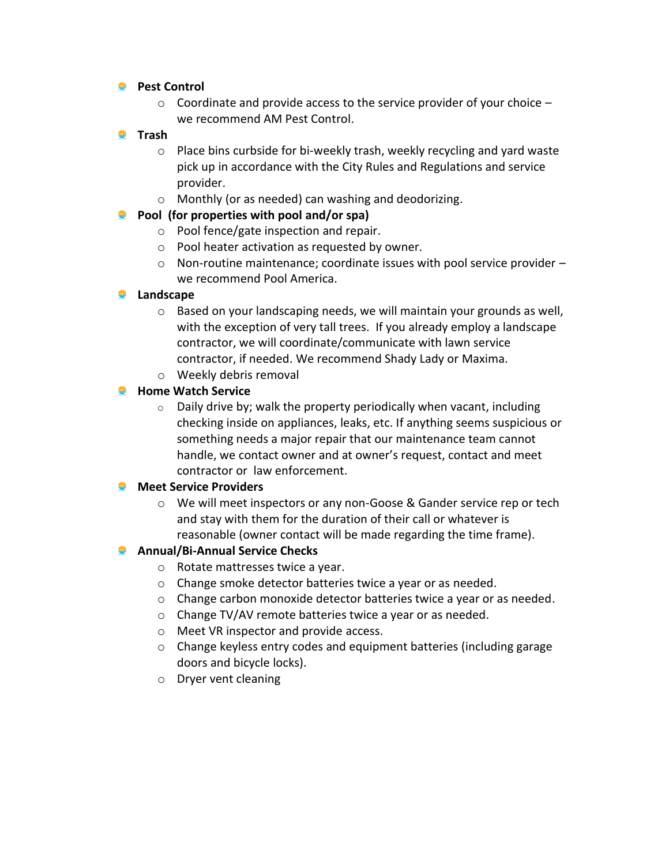### **Pest Control**

 $\circ$  Coordinate and provide access to the service provider of your choice  $$ we recommend AM Pest Control.

### **<u>•</u>** Trash

- o Place bins curbside for bi-weekly trash, weekly recycling and yard waste pick up in accordance with the City Rules and Regulations and service provider.
- o Monthly (or as needed) can washing and deodorizing.
- **Pool (for properties with pool and/or spa)**
	- o Pool fence/gate inspection and repair.
	- o Pool heater activation as requested by owner.
	- o Non-routine maintenance; coordinate issues with pool service provider we recommend Pool America.

## **2** Landscape

- o Based on your landscaping needs, we will maintain your grounds as well, with the exception of very tall trees. If you already employ a landscape contractor, we will coordinate/communicate with lawn service contractor, if needed. We recommend Shady Lady or Maxima.
- o Weekly debris removal

## **Home Watch Service**

 $\circ$  Daily drive by; walk the property periodically when vacant, including checking inside on appliances, leaks, etc. If anything seems suspicious or something needs a major repair that our maintenance team cannot handle, we contact owner and at owner's request, contact and meet contractor or law enforcement.

## **Meet Service Providers**

o We will meet inspectors or any non-Goose & Gander service rep or tech and stay with them for the duration of their call or whatever is reasonable (owner contact will be made regarding the time frame).

## **Annual/Bi-Annual Service Checks**

- o Rotate mattresses twice a year.
- o Change smoke detector batteries twice a year or as needed.
- o Change carbon monoxide detector batteries twice a year or as needed.
- o Change TV/AV remote batteries twice a year or as needed.
- o Meet VR inspector and provide access.
- o Change keyless entry codes and equipment batteries (including garage doors and bicycle locks).
- o Dryer vent cleaning